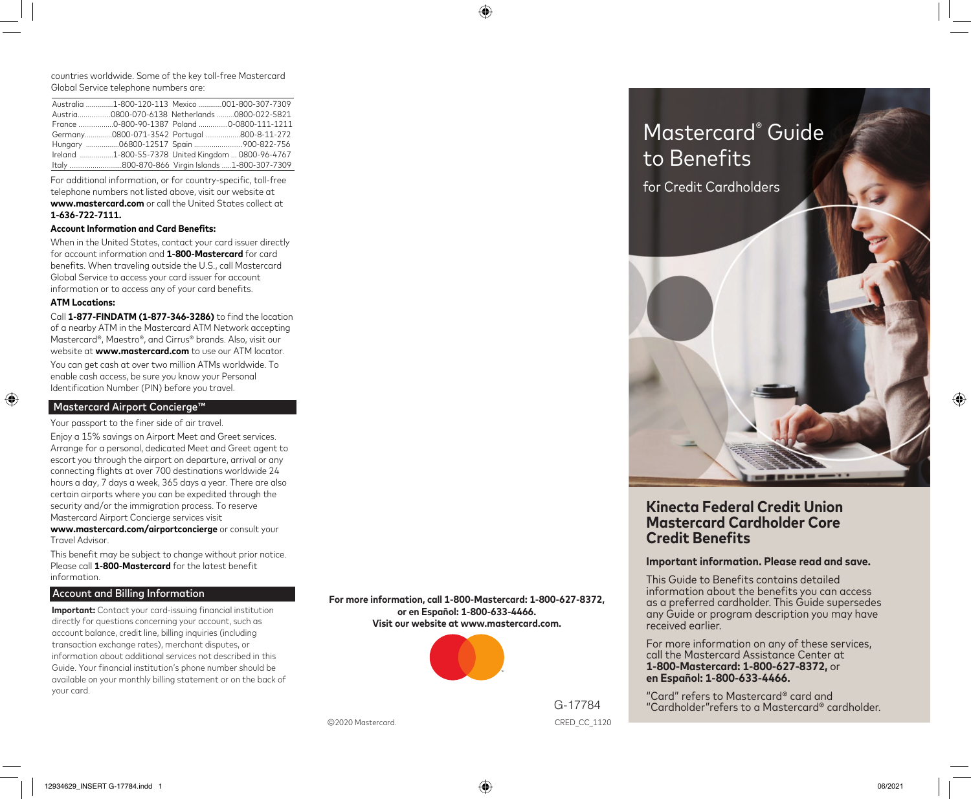⊕

countries worldwide. Some of the key toll-free Mastercard Global Service telephone numbers are:

|  | Australia 1-800-120-113 Mexico 001-800-307-7309    |
|--|----------------------------------------------------|
|  | Austria0800-070-6138 Netherlands0800-022-5821      |
|  | France 0-800-90-1387 Poland 0-0800-111-1211        |
|  | Germany0800-071-3542 Portugal 800-8-11-272         |
|  | Hungary 06800-12517 Spain 900-822-756              |
|  | Ireland 1-800-55-7378 United Kingdom  0800-96-4767 |
|  | Italy 800-870-866 Virgin Islands 1-800-307-7309    |

For additional information, or for country-specific, toll-free telephone numbers not listed above, visit our website at **www.mastercard.com** or call the United States collect at **1-636-722-7111.**

#### **Account Information and Card Benefits:**

When in the United States, contact your card issuer directly for account information and **1-800-Mastercard** for card benefits. When traveling outside the U.S., call Mastercard Global Service to access your card issuer for account information or to access any of your card benefits.

# **ATM Locations:**

Call **1-877-FINDATM (1-877-346-3286)** to find the location of a nearby ATM in the Mastercard ATM Network accepting Mastercard®, Maestro®, and Cirrus® brands. Also, visit our website at **www.mastercard.com** to use our ATM locator.

You can get cash at over two million ATMs worldwide. To enable cash access, be sure you know your Personal Identification Number (PIN) before you travel.

# Mastercard Airport Concierge™

Your passport to the finer side of air travel.

Enjoy a 15% savings on Airport Meet and Greet services. Arrange for a personal, dedicated Meet and Greet agent to escort you through the airport on departure, arrival or any connecting flights at over 700 destinations worldwide 24 hours a day, 7 days a week, 365 days a year. There are also certain airports where you can be expedited through the security and/or the immigration process. To reserve Mastercard Airport Concierge services visit

**www.mastercard.com/airportconcierge** or consult your Travel Advisor.

This benefit may be subject to change without prior notice. Please call **1-800-Mastercard** for the latest benefit information.

## Account and Billing Information

**Important:** Contact your card-issuing financial institution directly for questions concerning your account, such as account balance, credit line, billing inquiries (including transaction exchange rates), merchant disputes, or information about additional services not described in this Guide. Your financial institution's phone number should be available on your monthly billing statement or on the back of your card.

**For more information, call 1-800-Mastercard: 1-800-627-8372, or en Español: 1-800-633-4466. Visit our website at www.mastercard.com.**



CRED\_CC\_1120 Mastercard. CRED\_CC\_1120



# **.inecta Federal Credit Union Mastercard Cardholder Core Credit Benefits**

# **Important information. Please read and save.**

This Guide to Benefits contains detailed information about the benefits you can access as a preferred cardholder. This Guide supersedes any Guide or program description you may have received earlier.

For more information on any of these services, call the Mastercard Assistance Center at **1-800-Mastercard: 1-800-627-8372,** or **en Español: 1-800-633-4466.**

"Card" refers to Mastercard® card and "Cardholder"refers to a Mastercard® cardholder.  $\bigoplus$ 

G-17784